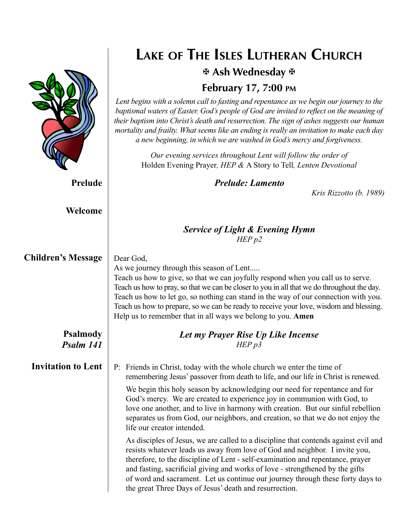|                              | LAKE OF THE ISLES LUTHERAN CHURCH                                                                                                                                                                                                                                                                                                                                                                                                                                                                                          |                         |  |  |
|------------------------------|----------------------------------------------------------------------------------------------------------------------------------------------------------------------------------------------------------------------------------------------------------------------------------------------------------------------------------------------------------------------------------------------------------------------------------------------------------------------------------------------------------------------------|-------------------------|--|--|
|                              | 포 Ash Wednesday 포                                                                                                                                                                                                                                                                                                                                                                                                                                                                                                          |                         |  |  |
|                              | <b>February 17, 7:00 PM</b>                                                                                                                                                                                                                                                                                                                                                                                                                                                                                                |                         |  |  |
|                              | Lent begins with a solemn call to fasting and repentance as we begin our journey to the<br>baptismal waters of Easter. God's people of God are invited to reflect on the meaning of<br>their baptism into Christ's death and resurrection. The sign of ashes suggests our human<br>mortality and frailty. What seems like an ending is really an invitation to make each day<br>a new beginning, in which we are washed in God's mercy and forgiveness.                                                                    |                         |  |  |
|                              | Our evening services throughout Lent will follow the order of<br>Holden Evening Prayer, HEP & A Story to Tell, Lenten Devotional                                                                                                                                                                                                                                                                                                                                                                                           |                         |  |  |
| Prelude                      | <b>Prelude: Lamento</b>                                                                                                                                                                                                                                                                                                                                                                                                                                                                                                    | Kris Rizzotto (b. 1989) |  |  |
| Welcome                      |                                                                                                                                                                                                                                                                                                                                                                                                                                                                                                                            |                         |  |  |
|                              | <b>Service of Light &amp; Evening Hymn</b><br>HEP p2                                                                                                                                                                                                                                                                                                                                                                                                                                                                       |                         |  |  |
| <b>Children's Message</b>    | Dear God,<br>As we journey through this season of Lent<br>Teach us how to give, so that we can joyfully respond when you call us to serve.<br>Teach us how to pray, so that we can be closer to you in all that we do throughout the day.<br>Teach us how to let go, so nothing can stand in the way of our connection with you.<br>Teach us how to prepare, so we can be ready to receive your love, wisdom and blessing.<br>Help us to remember that in all ways we belong to you. Amen                                  |                         |  |  |
| <b>Psalmody</b><br>Psalm 141 | Let my Prayer Rise Up Like Incense<br>HEPp3                                                                                                                                                                                                                                                                                                                                                                                                                                                                                |                         |  |  |
| <b>Invitation to Lent</b>    | P: Friends in Christ, today with the whole church we enter the time of<br>remembering Jesus' passover from death to life, and our life in Christ is renewed.<br>We begin this holy season by acknowledging our need for repentance and for<br>God's mercy. We are created to experience joy in communion with God, to<br>love one another, and to live in harmony with creation. But our sinful rebellion<br>separates us from God, our neighbors, and creation, so that we do not enjoy the<br>life our creator intended. |                         |  |  |
|                              | As disciples of Jesus, we are called to a discipline that contends against evil and<br>resists whatever leads us away from love of God and neighbor. I invite you,<br>therefore, to the discipline of Lent - self-examination and repentance, prayer<br>and fasting, sacrificial giving and works of love - strengthened by the gifts<br>of word and sacrament. Let us continue our journey through these forty days to<br>the great Three Days of Jesus' death and resurrection.                                          |                         |  |  |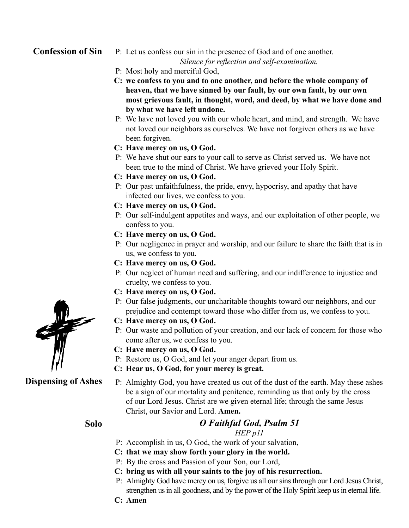#### **Confession of Sin**

P: Let us confess our sin in the presence of God and of one another.

*Silence for reflection and self-examination.*

- P: Most holy and merciful God,
- **C: we confess to you and to one another, and before the whole company of heaven, that we have sinned by our fault, by our own fault, by our own most grievous fault, in thought, word, and deed, by what we have done and by what we have left undone.**
- P: We have not loved you with our whole heart, and mind, and strength. We have not loved our neighbors as ourselves. We have not forgiven others as we have been forgiven.
- **C: Have mercy on us, O God.**
- P: We have shut our ears to your call to serve as Christ served us. We have not been true to the mind of Christ. We have grieved your Holy Spirit.
- **C: Have mercy on us, O God.**
- P: Our past unfaithfulness, the pride, envy, hypocrisy, and apathy that have infected our lives, we confess to you.
- **C: Have mercy on us, O God.**
- P: Our self-indulgent appetites and ways, and our exploitation of other people, we confess to you.
- **C: Have mercy on us, O God.**
- P: Our negligence in prayer and worship, and our failure to share the faith that is in us, we confess to you.
- **C: Have mercy on us, O God.**
- P: Our neglect of human need and suffering, and our indifference to injustice and cruelty, we confess to you.
- **C: Have mercy on us, O God.**
- P: Our false judgments, our uncharitable thoughts toward our neighbors, and our prejudice and contempt toward those who differ from us, we confess to you.
- **C: Have mercy on us, O God.**
- P: Our waste and pollution of your creation, and our lack of concern for those who come after us, we confess to you.
- **C: Have mercy on us, O God.**
- P: Restore us, O God, and let your anger depart from us.
- **C: Hear us, O God, for your mercy is great.**
- P: Almighty God, you have created us out of the dust of the earth. May these ashes be a sign of our mortality and penitence, reminding us that only by the cross of our Lord Jesus. Christ are we given eternal life; through the same Jesus Christ, our Savior and Lord. **Amen.**

- **Solo** *O Faithful God, Psalm 51 HEP p11*
	- P: Accomplish in us, O God, the work of your salvation,
	- **C: that we may show forth your glory in the world.**
	- P: By the cross and Passion of your Son, our Lord,
	- **C: bring us with all your saints to the joy of his resurrection.**
	- P: Almighty God have mercy on us, forgive us all our sins through our Lord Jesus Christ, strengthen us in all goodness, and by the power of the Holy Spirit keep us in eternal life.

**Dispensing of Ashes**

**C: Amen**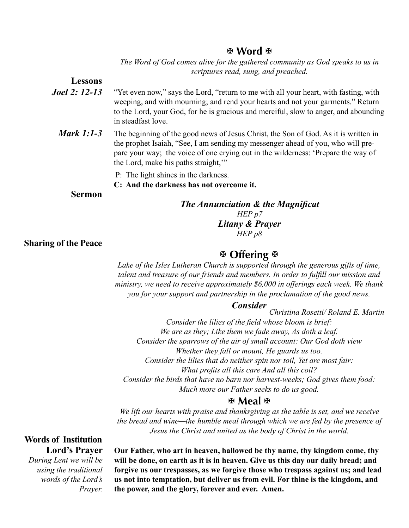|                                                                                                                                          | H Word H                                                                                                                                                                                                                                                                                                                                                                                   |  |  |  |
|------------------------------------------------------------------------------------------------------------------------------------------|--------------------------------------------------------------------------------------------------------------------------------------------------------------------------------------------------------------------------------------------------------------------------------------------------------------------------------------------------------------------------------------------|--|--|--|
|                                                                                                                                          | The Word of God comes alive for the gathered community as God speaks to us in<br>scriptures read, sung, and preached.                                                                                                                                                                                                                                                                      |  |  |  |
| <b>Lessons</b>                                                                                                                           |                                                                                                                                                                                                                                                                                                                                                                                            |  |  |  |
| <b>Joel 2: 12-13</b>                                                                                                                     | "Yet even now," says the Lord, "return to me with all your heart, with fasting, with<br>weeping, and with mourning; and rend your hearts and not your garments." Return<br>to the Lord, your God, for he is gracious and merciful, slow to anger, and abounding<br>in steadfast love.                                                                                                      |  |  |  |
| <b>Mark 1:1-3</b>                                                                                                                        | The beginning of the good news of Jesus Christ, the Son of God. As it is written in<br>the prophet Isaiah, "See, I am sending my messenger ahead of you, who will pre-<br>pare your way; the voice of one crying out in the wilderness: 'Prepare the way of<br>the Lord, make his paths straight,"                                                                                         |  |  |  |
|                                                                                                                                          | P: The light shines in the darkness.<br>C: And the darkness has not overcome it.                                                                                                                                                                                                                                                                                                           |  |  |  |
| <b>Sermon</b>                                                                                                                            | <b>The Annunciation &amp; the Magnificat</b><br>HEP p7                                                                                                                                                                                                                                                                                                                                     |  |  |  |
|                                                                                                                                          | Litany & Prayer                                                                                                                                                                                                                                                                                                                                                                            |  |  |  |
|                                                                                                                                          | HEP p8                                                                                                                                                                                                                                                                                                                                                                                     |  |  |  |
| <b>Sharing of the Peace</b>                                                                                                              |                                                                                                                                                                                                                                                                                                                                                                                            |  |  |  |
|                                                                                                                                          | $\mathfrak F$ Offering $\mathfrak F$                                                                                                                                                                                                                                                                                                                                                       |  |  |  |
|                                                                                                                                          | Lake of the Isles Lutheran Church is supported through the generous gifts of time,<br>talent and treasure of our friends and members. In order to fulfill our mission and<br>ministry, we need to receive approximately \$6,000 in offerings each week. We thank<br>you for your support and partnership in the proclamation of the good news.                                             |  |  |  |
|                                                                                                                                          | <b>Consider</b>                                                                                                                                                                                                                                                                                                                                                                            |  |  |  |
|                                                                                                                                          | Christina Rosetti/ Roland E. Martin<br>Consider the lilies of the field whose bloom is brief:                                                                                                                                                                                                                                                                                              |  |  |  |
|                                                                                                                                          | We are as they; Like them we fade away, As doth a leaf.                                                                                                                                                                                                                                                                                                                                    |  |  |  |
|                                                                                                                                          | Consider the sparrows of the air of small account: Our God doth view                                                                                                                                                                                                                                                                                                                       |  |  |  |
|                                                                                                                                          | Whether they fall or mount, He guards us too.<br>Consider the lilies that do neither spin nor toil, Yet are most fair:<br>What profits all this care And all this coil?                                                                                                                                                                                                                    |  |  |  |
|                                                                                                                                          | Consider the birds that have no barn nor harvest-weeks; God gives them food:<br>Much more our Father seeks to do us good.                                                                                                                                                                                                                                                                  |  |  |  |
|                                                                                                                                          | <b>※ Meal ※</b>                                                                                                                                                                                                                                                                                                                                                                            |  |  |  |
|                                                                                                                                          | We lift our hearts with praise and thanksgiving as the table is set, and we receive<br>the bread and wine—the humble meal through which we are fed by the presence of<br>Jesus the Christ and united as the body of Christ in the world.                                                                                                                                                   |  |  |  |
| <b>Words of Institution</b><br><b>Lord's Prayer</b><br>During Lent we will be<br>using the traditional<br>words of the Lord's<br>Prayer. | Our Father, who art in heaven, hallowed be thy name, thy kingdom come, thy<br>will be done, on earth as it is in heaven. Give us this day our daily bread; and<br>forgive us our trespasses, as we forgive those who trespass against us; and lead<br>us not into temptation, but deliver us from evil. For thine is the kingdom, and<br>the power, and the glory, forever and ever. Amen. |  |  |  |